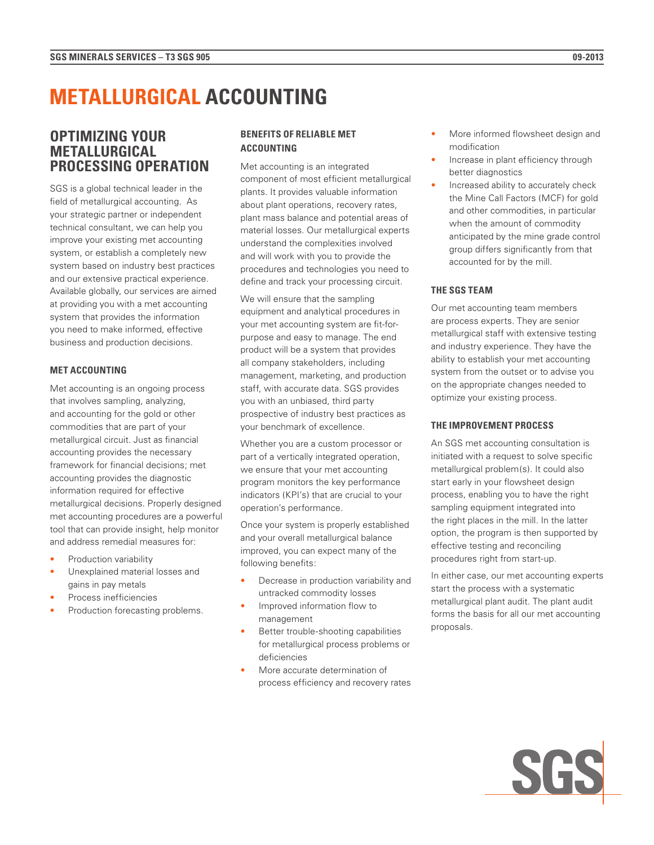# **METALLURGICAL ACCOUNTING**

# **OPTIMIZING YOUR METALLURGICAL PROCESSING OPERATION**

SGS is a global technical leader in the field of metallurgical accounting. As your strategic partner or independent technical consultant, we can help you improve your existing met accounting system, or establish a completely new system based on industry best practices and our extensive practical experience. Available globally, our services are aimed at providing you with a met accounting system that provides the information you need to make informed, effective business and production decisions.

# **MET ACCOUNTING**

Met accounting is an ongoing process that involves sampling, analyzing, and accounting for the gold or other commodities that are part of your metallurgical circuit. Just as financial accounting provides the necessary framework for financial decisions; met accounting provides the diagnostic information required for effective metallurgical decisions. Properly designed met accounting procedures are a powerful tool that can provide insight, help monitor and address remedial measures for:

- Production variability
- Unexplained material losses and gains in pay metals
- Process inefficiencies
- Production forecasting problems.

# **BENEFITS OF RELIABLE MET ACCOUNTING**

Met accounting is an integrated component of most efficient metallurgical plants. It provides valuable information about plant operations, recovery rates, plant mass balance and potential areas of material losses. Our metallurgical experts understand the complexities involved and will work with you to provide the procedures and technologies you need to define and track your processing circuit.

We will ensure that the sampling equipment and analytical procedures in your met accounting system are fit-forpurpose and easy to manage. The end product will be a system that provides all company stakeholders, including management, marketing, and production staff, with accurate data. SGS provides you with an unbiased, third party prospective of industry best practices as your benchmark of excellence.

Whether you are a custom processor or part of a vertically integrated operation, we ensure that your met accounting program monitors the key performance indicators (KPI's) that are crucial to your operation's performance.

Once your system is properly established and your overall metallurgical balance improved, you can expect many of the following benefits:

- Decrease in production variability and untracked commodity losses
- Improved information flow to management
- Better trouble-shooting capabilities for metallurgical process problems or deficiencies
- More accurate determination of process efficiency and recovery rates
- More informed flowsheet design and modification
- Increase in plant efficiency through better diagnostics
- Increased ability to accurately check the Mine Call Factors (MCF) for gold and other commodities, in particular when the amount of commodity anticipated by the mine grade control group differs significantly from that accounted for by the mill.

# **THE SGS TEAM**

Our met accounting team members are process experts. They are senior metallurgical staff with extensive testing and industry experience. They have the ability to establish your met accounting system from the outset or to advise you on the appropriate changes needed to optimize your existing process.

# **THE IMPROVEMENT PROCESS**

An SGS met accounting consultation is initiated with a request to solve specific metallurgical problem(s). It could also start early in your flowsheet design process, enabling you to have the right sampling equipment integrated into the right places in the mill. In the latter option, the program is then supported by effective testing and reconciling procedures right from start-up.

In either case, our met accounting experts start the process with a systematic metallurgical plant audit. The plant audit forms the basis for all our met accounting proposals.